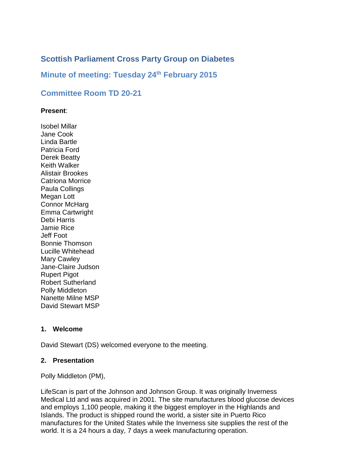# **Scottish Parliament Cross Party Group on Diabetes**

## **Minute of meeting: Tuesday 24th February 2015**

## **Committee Room TD 20-21**

#### **Present**:

Isobel Millar Jane Cook Linda Bartle Patricia Ford Derek Beatty Keith Walker Alistair Brookes Catriona Morrice Paula Collings Megan Lott Connor McHarg Emma Cartwright Debi Harris Jamie Rice Jeff Foot Bonnie Thomson Lucille Whitehead Mary Cawley Jane-Claire Judson Rupert Pigot Robert Sutherland Polly Middleton Nanette Milne MSP David Stewart MSP

### **1. Welcome**

David Stewart (DS) welcomed everyone to the meeting.

### **2. Presentation**

Polly Middleton (PM),

LifeScan is part of the Johnson and Johnson Group. It was originally Inverness Medical Ltd and was acquired in 2001. The site manufactures blood glucose devices and employs 1,100 people, making it the biggest employer in the Highlands and Islands. The product is shipped round the world, a sister site in Puerto Rico manufactures for the United States while the Inverness site supplies the rest of the world. It is a 24 hours a day, 7 days a week manufacturing operation.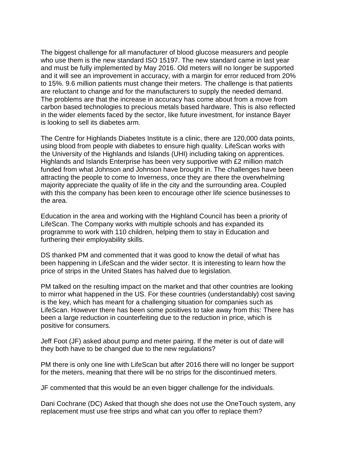The biggest challenge for all manufacturer of blood glucose measurers and people who use them is the new standard ISO 15197. The new standard came in last year and must be fully implemented by May 2016. Old meters will no longer be supported and it will see an improvement in accuracy, with a margin for error reduced from 20% to 15%. 9.6 million patients must change their meters. The challenge is that patients are reluctant to change and for the manufacturers to supply the needed demand. The problems are that the increase in accuracy has come about from a move from carbon based technologies to precious metals based hardware. This is also reflected in the wider elements faced by the sector, like future investment, for instance Bayer is looking to sell its diabetes arm.

The Centre for Highlands Diabetes Institute is a clinic, there are 120,000 data points, using blood from people with diabetes to ensure high quality. LifeScan works with the University of the Highlands and Islands (UHI) including taking on apprentices. Highlands and Islands Enterprise has been very supportive with £2 million match funded from what Johnson and Johnson have brought in. The challenges have been attracting the people to come to Inverness, once they are there the overwhelming majority appreciate the quality of life in the city and the surrounding area. Coupled with this the company has been keen to encourage other life science businesses to the area.

Education in the area and working with the Highland Council has been a priority of LifeScan. The Company works with multiple schools and has expanded its programme to work with 110 children, helping them to stay in Education and furthering their employability skills.

DS thanked PM and commented that it was good to know the detail of what has been happening in LifeScan and the wider sector. It is interesting to learn how the price of strips in the United States has halved due to legislation.

PM talked on the resulting impact on the market and that other countries are looking to mirror what happened in the US. For these countries (understandably) cost saving is the key, which has meant for a challenging situation for companies such as LifeScan. However there has been some positives to take away from this: There has been a large reduction in counterfeiting due to the reduction in price, which is positive for consumers.

Jeff Foot (JF) asked about pump and meter pairing. If the meter is out of date will they both have to be changed due to the new regulations?

PM there is only one line with LifeScan but after 2016 there will no longer be support for the meters, meaning that there will be no strips for the discontinued meters.

JF commented that this would be an even bigger challenge for the individuals.

Dani Cochrane (DC) Asked that though she does not use the OneTouch system, any replacement must use free strips and what can you offer to replace them?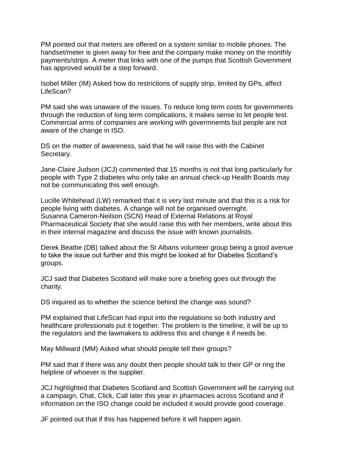PM pointed out that meters are offered on a system similar to mobile phones. The handset/meter is given away for free and the company make money on the monthly payments/strips. A meter that links with one of the pumps that Scottish Government has approved would be a step forward.

Isobel Miller (IM) Asked how do restrictions of supply strip, limited by GPs, affect LifeScan?

PM said she was unaware of the issues. To reduce long term costs for governments through the reduction of long term complications, it makes sense to let people test. Commercial arms of companies are working with govermnemts but people are not aware of the change in ISO.

DS on the matter of awareness, said that he will raise this with the Cabinet Secretary.

Jane-Claire Judson (JCJ) commented that 15 months is not that long particularly for people with Type 2 diabetes who only take an annual check-up Health Boards may not be communicating this well enough.

Lucille Whitehead (LW) remarked that it is very last minute and that this is a risk for people living with diabetes. A change will not be organised overnight. Susanna Cameron-Neilson (SCN) Head of External Relations at Royal Pharmaceutical Society that she would raise this with her members, write about this in their internal magazine and discuss the issue with known journalists.

Derek Beattie (DB) talked about the St Albans volunteer group being a good avenue to take the issue out further and this might be looked at for Diabetes Scotland's groups.

JCJ said that Diabetes Scotland will make sure a briefing goes out through the charity.

DS inquired as to whether the science behind the change was sound?

PM explained that LifeScan had input into the regulations so both industry and healthcare professionals put it together. The problem is the timeline, it will be up to the regulators and the lawmakers to address this and change it if needs be.

May Millward (MM) Asked what should people tell their groups?

PM said that if there was any doubt then people should talk to their GP or ring the helpline of whoever is the supplier.

JCJ highlighted that Diabetes Scotland and Scottish Government will be carrying out a campaign, Chat, Click, Call later this year in pharmacies across Scotland and if information on the ISO change could be included it would provide good coverage.

JF pointed out that if this has happened before it will happen again.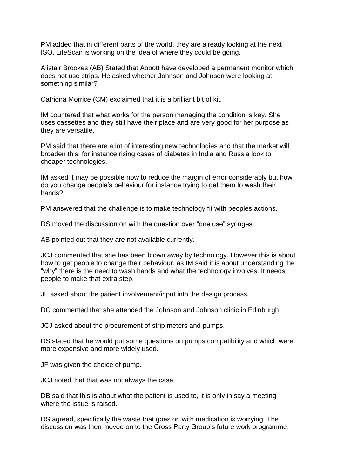PM added that in different parts of the world, they are already looking at the next ISO. LifeScan is working on the idea of where they could be going.

Alistair Brookes (AB) Stated that Abbott have developed a permanent monitor which does not use strips. He asked whether Johnson and Johnson were looking at something similar?

Catriona Morrice (CM) exclaimed that it is a brilliant bit of kit.

IM countered that what works for the person managing the condition is key. She uses cassettes and they still have their place and are very good for her purpose as they are versatile.

PM said that there are a lot of interesting new technologies and that the market will broaden this, for instance rising cases of diabetes in India and Russia look to cheaper technologies.

IM asked it may be possible now to reduce the margin of error considerably but how do you change people's behaviour for instance trying to get them to wash their hands?

PM answered that the challenge is to make technology fit with peoples actions.

DS moved the discussion on with the question over "one use" syringes.

AB pointed out that they are not available currently.

JCJ commented that she has been blown away by technology. However this is about how to get people to change their behaviour, as IM said it is about understanding the "why" there is the need to wash hands and what the technology involves. It needs people to make that extra step.

JF asked about the patient involvement/input into the design process.

DC commented that she attended the Johnson and Johnson clinic in Edinburgh.

JCJ asked about the procurement of strip meters and pumps.

DS stated that he would put some questions on pumps compatibility and which were more expensive and more widely used.

JF was given the choice of pump.

JCJ noted that that was not always the case.

DB said that this is about what the patient is used to, it is only in say a meeting where the issue is raised.

DS agreed, specifically the waste that goes on with medication is worrying. The discussion was then moved on to the Cross Party Group's future work programme.